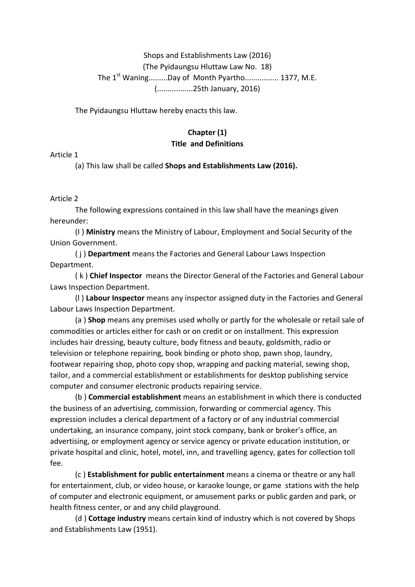## Shops and Establishments Law (2016) (The Pyidaungsu Hluttaw Law No. 18) The 1<sup>st</sup> Waning.........Day of Month Pyartho................ 1377, M.E. (.................25th January, 2016)

The Pyidaungsu Hluttaw hereby enacts this law.

#### Chapter (1) **Title and Definitions**

Article 1

(a) This law shall be called **Shops and Establishments Law (2016).** 

Article 2

The following expressions contained in this law shall have the meanings given hereunder:

(I) Ministry means the Ministry of Labour, Employment and Social Security of the Union Government.

(i) **Department** means the Factories and General Labour Laws Inspection Department.

(k) Chief Inspector means the Director General of the Factories and General Labour Laws Inspection Department.

(I) Labour Inspector means any inspector assigned duty in the Factories and General Labour Laws Inspection Department.

(a) **Shop** means any premises used wholly or partly for the wholesale or retail sale of commodities or articles either for cash or on credit or on installment. This expression includes hair dressing, beauty culture, body fitness and beauty, goldsmith, radio or television or telephone repairing, book binding or photo shop, pawn shop, laundry, footwear repairing shop, photo copy shop, wrapping and packing material, sewing shop, tailor, and a commercial establishment or establishments for desktop publishing service computer and consumer electronic products repairing service.

(b) **Commercial establishment** means an establishment in which there is conducted the business of an advertising, commission, forwarding or commercial agency. This expression includes a clerical department of a factory or of any industrial commercial undertaking, an insurance company, joint stock company, bank or broker's office, an advertising, or employment agency or service agency or private education institution, or private hospital and clinic, hotel, motel, inn, and travelling agency, gates for collection toll fee.

(c) **Establishment for public entertainment** means a cinema or theatre or any hall for entertainment, club, or video house, or karaoke lounge, or game stations with the help of computer and electronic equipment, or amusement parks or public garden and park, or health fitness center, or and any child playground.

(d) **Cottage industry** means certain kind of industry which is not covered by Shops and Establishments Law (1951).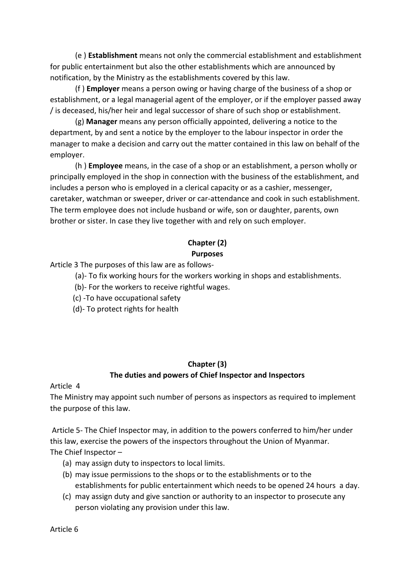(e) **Establishment** means not only the commercial establishment and establishment for public entertainment but also the other establishments which are announced by notification, by the Ministry as the establishments covered by this law.

(f) **Employer** means a person owing or having charge of the business of a shop or establishment, or a legal managerial agent of the employer, or if the employer passed away / is deceased, his/her heir and legal successor of share of such shop or establishment.

(g) **Manager** means any person officially appointed, delivering a notice to the department, by and sent a notice by the employer to the labour inspector in order the manager to make a decision and carry out the matter contained in this law on behalf of the employer.

(h) **Employee** means, in the case of a shop or an establishment, a person wholly or principally employed in the shop in connection with the business of the establishment, and includes a person who is employed in a clerical capacity or as a cashier, messenger, caretaker, watchman or sweeper, driver or car-attendance and cook in such establishment. The term employee does not include husband or wife, son or daughter, parents, own brother or sister. In case they live together with and rely on such employer.

# **Chapter (2)**

## **Purposes**

Article 3 The purposes of this law are as follows-

(a)- To fix working hours for the workers working in shops and establishments.

(b)- For the workers to receive rightful wages.

(c) -To have occupational safety

(d)- To protect rights for health

## **Chapter (3)**

## The duties and powers of Chief Inspector and Inspectors

Article 4

The Ministry may appoint such number of persons as inspectors as required to implement the purpose of this law.

Article 5- The Chief Inspector may, in addition to the powers conferred to him/her under this law, exercise the powers of the inspectors throughout the Union of Myanmar. The Chief Inspector  $-$ 

- (a) may assign duty to inspectors to local limits.
- (b) may issue permissions to the shops or to the establishments or to the establishments for public entertainment which needs to be opened 24 hours a day.
- (c) may assign duty and give sanction or authority to an inspector to prosecute any person violating any provision under this law.

Article 6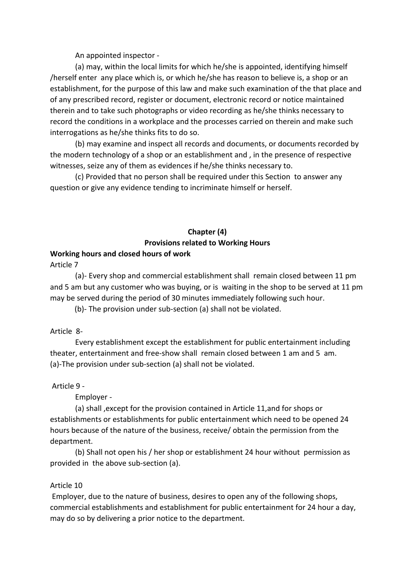An appointed inspector -

(a) may, within the local limits for which he/she is appointed, identifying himself /herself enter any place which is, or which he/she has reason to believe is, a shop or an establishment, for the purpose of this law and make such examination of the that place and of any prescribed record, register or document, electronic record or notice maintained therein and to take such photographs or video recording as he/she thinks necessary to record the conditions in a workplace and the processes carried on therein and make such interrogations as he/she thinks fits to do so.

(b) may examine and inspect all records and documents, or documents recorded by the modern technology of a shop or an establishment and, in the presence of respective witnesses, seize any of them as evidences if he/she thinks necessary to.

(c) Provided that no person shall be required under this Section to answer any question or give any evidence tending to incriminate himself or herself.

## **Chapter (4) Provisions related to Working Hours**

## **Working hours and closed hours of work**

Article 7

(a)- Every shop and commercial establishment shall remain closed between 11 pm and 5 am but any customer who was buying, or is waiting in the shop to be served at 11 pm may be served during the period of 30 minutes immediately following such hour.

(b)- The provision under sub-section (a) shall not be violated.

Article 8-

Every establishment except the establishment for public entertainment including theater, entertainment and free-show shall remain closed between 1 am and 5 am. (a)-The provision under sub-section (a) shall not be violated.

Article 9 -

Employer -

(a) shall , except for the provision contained in Article 11, and for shops or establishments or establishments for public entertainment which need to be opened 24 hours because of the nature of the business, receive/ obtain the permission from the department.

(b) Shall not open his / her shop or establishment 24 hour without permission as provided in the above sub-section (a).

#### Article 10

Employer, due to the nature of business, desires to open any of the following shops, commercial establishments and establishment for public entertainment for 24 hour a day, may do so by delivering a prior notice to the department.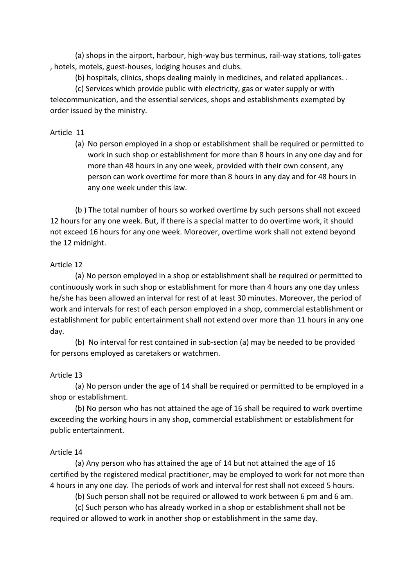(a) shops in the airport, harbour, high-way bus terminus, rail-way stations, toll-gates , hotels, motels, guest-houses, lodging houses and clubs.

(b) hospitals, clinics, shops dealing mainly in medicines, and related appliances. .

(c) Services which provide public with electricity, gas or water supply or with telecommunication, and the essential services, shops and establishments exempted by order issued by the ministry.

## Article 11

(a) No person employed in a shop or establishment shall be required or permitted to work in such shop or establishment for more than 8 hours in any one day and for more than 48 hours in any one week, provided with their own consent, any person can work overtime for more than 8 hours in any day and for 48 hours in any one week under this law.

(b) The total number of hours so worked overtime by such persons shall not exceed 12 hours for any one week. But, if there is a special matter to do overtime work, it should not exceed 16 hours for any one week. Moreover, overtime work shall not extend beyond the 12 midnight.

## Article 12

(a) No person employed in a shop or establishment shall be required or permitted to continuously work in such shop or establishment for more than 4 hours any one day unless he/she has been allowed an interval for rest of at least 30 minutes. Moreover, the period of work and intervals for rest of each person employed in a shop, commercial establishment or establishment for public entertainment shall not extend over more than 11 hours in any one day.

(b) No interval for rest contained in sub-section (a) may be needed to be provided for persons employed as caretakers or watchmen.

## Article 13

(a) No person under the age of 14 shall be required or permitted to be employed in a shop or establishment.

(b) No person who has not attained the age of 16 shall be required to work overtime exceeding the working hours in any shop, commercial establishment or establishment for public entertainment.

## Article 14

(a) Any person who has attained the age of 14 but not attained the age of 16 certified by the registered medical practitioner, may be employed to work for not more than 4 hours in any one day. The periods of work and interval for rest shall not exceed 5 hours.

(b) Such person shall not be required or allowed to work between 6 pm and 6 am.

(c) Such person who has already worked in a shop or establishment shall not be required or allowed to work in another shop or establishment in the same day.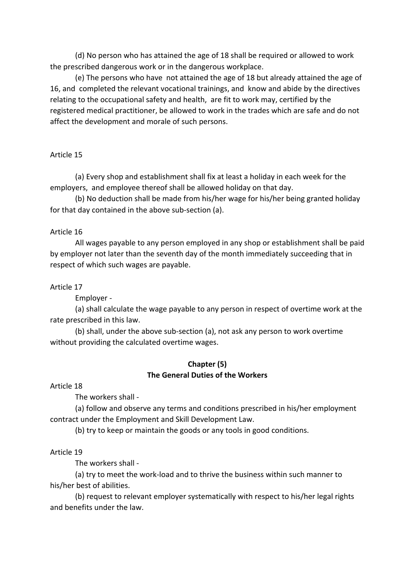(d) No person who has attained the age of 18 shall be required or allowed to work the prescribed dangerous work or in the dangerous workplace.

(e) The persons who have not attained the age of 18 but already attained the age of 16, and completed the relevant vocational trainings, and know and abide by the directives relating to the occupational safety and health, are fit to work may, certified by the registered medical practitioner, be allowed to work in the trades which are safe and do not affect the development and morale of such persons.

## Article 15

(a) Every shop and establishment shall fix at least a holiday in each week for the employers, and employee thereof shall be allowed holiday on that day.

(b) No deduction shall be made from his/her wage for his/her being granted holiday for that day contained in the above sub-section (a).

#### Article 16

All wages payable to any person employed in any shop or establishment shall be paid by employer not later than the seventh day of the month immediately succeeding that in respect of which such wages are payable.

#### Article 17

Employer -

(a) shall calculate the wage payable to any person in respect of overtime work at the rate prescribed in this law.

(b) shall, under the above sub-section (a), not ask any person to work overtime without providing the calculated overtime wages.

#### **Chapter (5) The General Duties of the Workers**

Article 18

The workers shall -

(a) follow and observe any terms and conditions prescribed in his/her employment contract under the Employment and Skill Development Law.

(b) try to keep or maintain the goods or any tools in good conditions.

#### Article 19

The workers shall -

(a) try to meet the work-load and to thrive the business within such manner to his/her best of abilities.

(b) request to relevant employer systematically with respect to his/her legal rights and benefits under the law.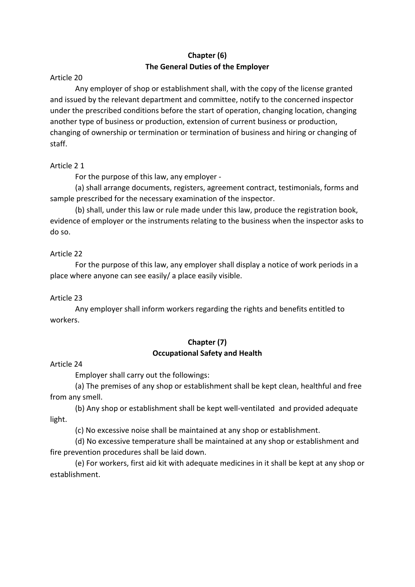## **Chapter (6) The General Duties of the Employer**

## Article 20

Any employer of shop or establishment shall, with the copy of the license granted and issued by the relevant department and committee, notify to the concerned inspector under the prescribed conditions before the start of operation, changing location, changing another type of business or production, extension of current business or production, changing of ownership or termination or termination of business and hiring or changing of staff.

## Article 21

For the purpose of this law, any employer -

(a) shall arrange documents, registers, agreement contract, testimonials, forms and sample prescribed for the necessary examination of the inspector.

(b) shall, under this law or rule made under this law, produce the registration book, evidence of employer or the instruments relating to the business when the inspector asks to do so.

## Article 22

For the purpose of this law, any employer shall display a notice of work periods in a place where anyone can see easily/ a place easily visible.

## Article 23

Any employer shall inform workers regarding the rights and benefits entitled to workers.

## **Chapter (7) Occupational Safety and Health**

## Article 24

Employer shall carry out the followings:

(a) The premises of any shop or establishment shall be kept clean, healthful and free from any smell.

(b) Any shop or establishment shall be kept well-ventilated and provided adequate light.

(c) No excessive noise shall be maintained at any shop or establishment.

(d) No excessive temperature shall be maintained at any shop or establishment and fire prevention procedures shall be laid down.

(e) For workers, first aid kit with adequate medicines in it shall be kept at any shop or establishment.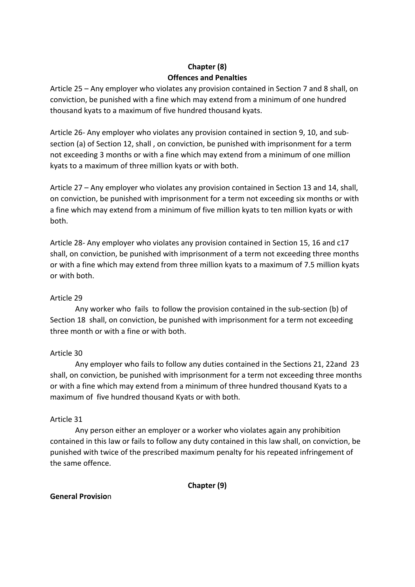## **Chapter (8) Offences and Penalties**

Article 25 – Any employer who violates any provision contained in Section 7 and 8 shall, on conviction, be punished with a fine which may extend from a minimum of one hundred thousand kyats to a maximum of five hundred thousand kyats.

Article 26- Any employer who violates any provision contained in section 9, 10, and subsection (a) of Section 12, shall, on conviction, be punished with imprisonment for a term not exceeding 3 months or with a fine which may extend from a minimum of one million kyats to a maximum of three million kyats or with both.

Article 27 – Any employer who violates any provision contained in Section 13 and 14, shall, on conviction, be punished with imprisonment for a term not exceeding six months or with a fine which may extend from a minimum of five million kyats to ten million kyats or with both.

Article 28- Any employer who violates any provision contained in Section 15, 16 and c17 shall, on conviction, be punished with imprisonment of a term not exceeding three months or with a fine which may extend from three million kyats to a maximum of 7.5 million kyats or with both.

## Article 29

Any worker who fails to follow the provision contained in the sub-section (b) of Section 18 shall, on conviction, be punished with imprisonment for a term not exceeding three month or with a fine or with both.

## Article 30

Any employer who fails to follow any duties contained in the Sections 21, 22and 23 shall, on conviction, be punished with imprisonment for a term not exceeding three months or with a fine which may extend from a minimum of three hundred thousand Kyats to a maximum of five hundred thousand Kyats or with both.

## Article 31

Any person either an employer or a worker who violates again any prohibition contained in this law or fails to follow any duty contained in this law shall, on conviction, be punished with twice of the prescribed maximum penalty for his repeated infringement of the same offence.

**Chapter (9)**

## **General Provisio**n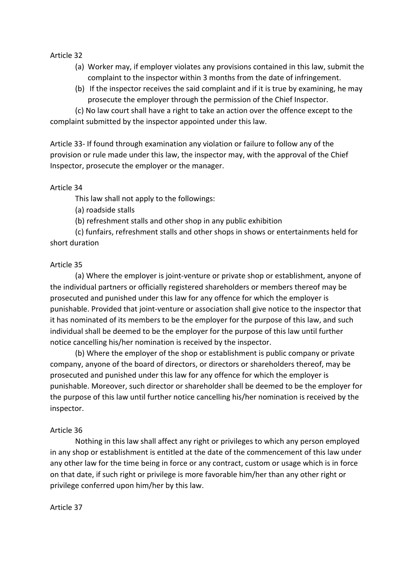Article 32 

- (a) Worker may, if employer violates any provisions contained in this law, submit the complaint to the inspector within 3 months from the date of infringement.
- (b) If the inspector receives the said complaint and if it is true by examining, he may prosecute the employer through the permission of the Chief Inspector.

(c) No law court shall have a right to take an action over the offence except to the complaint submitted by the inspector appointed under this law.

Article 33- If found through examination any violation or failure to follow any of the provision or rule made under this law, the inspector may, with the approval of the Chief Inspector, prosecute the employer or the manager.

#### Article 34

This law shall not apply to the followings:

- (a) roadside stalls
- (b) refreshment stalls and other shop in any public exhibition

(c) funfairs, refreshment stalls and other shops in shows or entertainments held for short duration

## Article 35

(a) Where the employer is joint-venture or private shop or establishment, anyone of the individual partners or officially registered shareholders or members thereof may be prosecuted and punished under this law for any offence for which the employer is punishable. Provided that joint-venture or association shall give notice to the inspector that it has nominated of its members to be the employer for the purpose of this law, and such individual shall be deemed to be the employer for the purpose of this law until further notice cancelling his/her nomination is received by the inspector.

(b) Where the employer of the shop or establishment is public company or private company, anyone of the board of directors, or directors or shareholders thereof, may be prosecuted and punished under this law for any offence for which the employer is punishable. Moreover, such director or shareholder shall be deemed to be the employer for the purpose of this law until further notice cancelling his/her nomination is received by the inspector.

## Article 36

Nothing in this law shall affect any right or privileges to which any person employed in any shop or establishment is entitled at the date of the commencement of this law under any other law for the time being in force or any contract, custom or usage which is in force on that date, if such right or privilege is more favorable him/her than any other right or privilege conferred upon him/her by this law.

Article 37